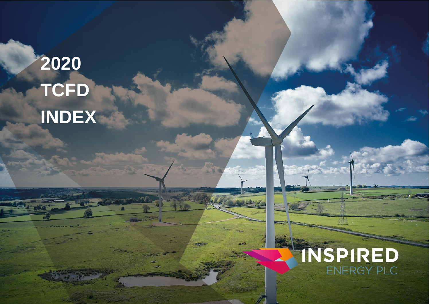## **2020 TCFD INDEX**



1 Inspired Energy PLC 2020 The Contract of the Contract of the Contract of the Contract of the Contract of the

GRI INDEX 2020 100: FOUNDATION 200: ECONOMIC 300: ENVIRONMENTAL 400: SOCIAL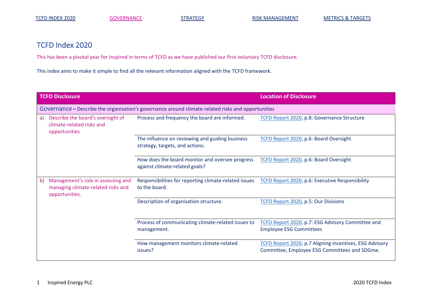## TCFD Index 2020

This has been a pivotal year for Inspired in terms of TCFD as we have published our first voluntary TCFD disclosure.

This index aims to make it simple to find all the relevant information aligned with the TCFD framework.

<span id="page-1-0"></span>

| <b>TCFD Disclosure</b> |                                                                                                    |                                                                                                                         | <b>Location of Disclosure</b>                                                                            |  |  |  |  |
|------------------------|----------------------------------------------------------------------------------------------------|-------------------------------------------------------------------------------------------------------------------------|----------------------------------------------------------------------------------------------------------|--|--|--|--|
|                        | Governance – Describe the organisation's governance around climate-related risks and opportunities |                                                                                                                         |                                                                                                          |  |  |  |  |
| a)                     | Describe the board's oversight of<br>climate-related risks and<br>opportunities                    | Process and frequency the board are informed.                                                                           | TCFD Report 2020, p.8: Governance Structure                                                              |  |  |  |  |
|                        |                                                                                                    | The influence on reviewing and guiding business<br>strategy, targets, and actions.                                      | TCFD Report 2020, p.6: Board Oversight                                                                   |  |  |  |  |
|                        |                                                                                                    | How does the board monitor and oversee progress<br>against climate-related goals?                                       | TCFD Report 2020, p.6: Board Oversight                                                                   |  |  |  |  |
| b)                     | Management's role in assessing and<br>managing climate-related risks and<br>opportunities.         | Responsibilities for reporting climate-related issues  TCFD Report 2020, p.6: Executive Responsibility<br>to the board. |                                                                                                          |  |  |  |  |
|                        |                                                                                                    | Description of organisation structure.                                                                                  | TCFD Report 2020, p.5: Our Divisions                                                                     |  |  |  |  |
|                        |                                                                                                    | Process of communicating climate-related issues to<br>management.                                                       | TCFD Report 2020, p.7: ESG Advisory Committee and<br><b>Employee ESG Committees</b>                      |  |  |  |  |
|                        |                                                                                                    | How management monitors climate-related<br>issues?                                                                      | TCFD Report 2020, p.7 Aligning incentives, ESG Advisory<br>Committee, Employee ESG Committees and SDGme. |  |  |  |  |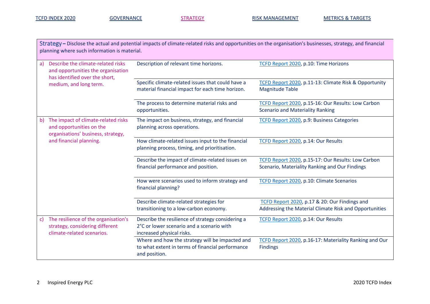<span id="page-2-0"></span>

| Strategy – Disclose the actual and potential impacts of climate-related risks and opportunities on the organisation's businesses, strategy, and financial<br>planning where such information is material. |                                                                                                                                      |                                                                                                                             |                                                                                                         |  |  |
|-----------------------------------------------------------------------------------------------------------------------------------------------------------------------------------------------------------|--------------------------------------------------------------------------------------------------------------------------------------|-----------------------------------------------------------------------------------------------------------------------------|---------------------------------------------------------------------------------------------------------|--|--|
| a)                                                                                                                                                                                                        | Describe the climate-related risks<br>and opportunities the organisation<br>has identified over the short,<br>medium, and long term. | Description of relevant time horizons.                                                                                      | TCFD Report 2020, p.10: Time Horizons                                                                   |  |  |
|                                                                                                                                                                                                           |                                                                                                                                      | Specific climate-related issues that could have a<br>material financial impact for each time horizon.                       | TCFD Report 2020, p.11-13: Climate Risk & Opportunity<br><b>Magnitude Table</b>                         |  |  |
|                                                                                                                                                                                                           |                                                                                                                                      | The process to determine material risks and<br>opportunities.                                                               | TCFD Report 2020, p.15-16: Our Results: Low Carbon<br><b>Scenario and Materiality Ranking</b>           |  |  |
| b)                                                                                                                                                                                                        | The impact of climate-related risks<br>and opportunities on the<br>organisations' business, strategy,<br>and financial planning.     | The impact on business, strategy, and financial<br>planning across operations.                                              | TCFD Report 2020, p.9: Business Categories                                                              |  |  |
|                                                                                                                                                                                                           |                                                                                                                                      | How climate-related issues input to the financial<br>planning process, timing, and prioritisation.                          | TCFD Report 2020, p.14: Our Results                                                                     |  |  |
|                                                                                                                                                                                                           |                                                                                                                                      | Describe the impact of climate-related issues on<br>financial performance and position.                                     | TCFD Report 2020, p.15-17: Our Results: Low Carbon<br>Scenario, Materiality Ranking and Our Findings    |  |  |
|                                                                                                                                                                                                           |                                                                                                                                      | How were scenarios used to inform strategy and<br>financial planning?                                                       | TCFD Report 2020, p.10: Climate Scenarios                                                               |  |  |
|                                                                                                                                                                                                           |                                                                                                                                      | Describe climate-related strategies for<br>transitioning to a low-carbon economy.                                           | TCFD Report 2020, p.17 & 20: Our Findings and<br>Addressing the Material Climate Risk and Opportunities |  |  |
| $\mathsf{C}$                                                                                                                                                                                              | The resilience of the organisation's<br>strategy, considering different<br>climate-related scenarios.                                | Describe the resilience of strategy considering a<br>2°C or lower scenario and a scenario with<br>increased physical risks. | TCFD Report 2020, p.14: Our Results                                                                     |  |  |
|                                                                                                                                                                                                           |                                                                                                                                      | Where and how the strategy will be impacted and<br>to what extent in terms of financial performance<br>and position.        | TCFD Report 2020, p.16-17: Materiality Ranking and Our<br><b>Findings</b>                               |  |  |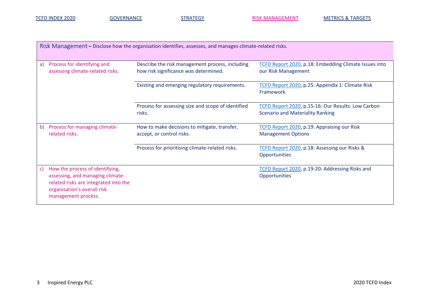TCFD INDEX 2020 [GOVERNANCE](#page-1-0) [STRATEGY](#page-2-0) STRATEGY [RISK MANAGEMENT](#page-3-0) METRICS [& TARGETS](#page-4-0)

<span id="page-3-0"></span>

| Risk Management – Disclose how the organisation identifies, assesses, and manages climate-related risks. |                                                                                                                                                                    |                                                                                          |                                                                                               |  |  |  |
|----------------------------------------------------------------------------------------------------------|--------------------------------------------------------------------------------------------------------------------------------------------------------------------|------------------------------------------------------------------------------------------|-----------------------------------------------------------------------------------------------|--|--|--|
| a)                                                                                                       | Process for identifying and<br>assessing climate-related risks.                                                                                                    | Describe the risk management process, including<br>how risk significance was determined. | TCFD Report 2020, p.18: Embedding Climate Issues into<br>our Risk Management                  |  |  |  |
|                                                                                                          |                                                                                                                                                                    | Existing and emerging regulatory requirements.                                           | TCFD Report 2020, p.25: Appendix 1: Climate Risk<br>Framework                                 |  |  |  |
|                                                                                                          |                                                                                                                                                                    | Process for assessing size and scope of identified<br>risks.                             | TCFD Report 2020, p.15-16: Our Results: Low Carbon<br><b>Scenario and Materiality Ranking</b> |  |  |  |
| b)                                                                                                       | Process for managing climate-<br>related risks.                                                                                                                    | How to make decisions to mitigate, transfer,<br>accept, or control risks.                | TCFD Report 2020, p.19: Appraising our Risk<br><b>Management Options</b>                      |  |  |  |
|                                                                                                          |                                                                                                                                                                    | Process for prioritising climate-related risks.                                          | TCFD Report 2020, p.18: Assessing our Risks &<br>Opportunities                                |  |  |  |
| C)                                                                                                       | How the process of identifying,<br>assessing, and managing climate-<br>related risks are integrated into the<br>organisation's overall risk<br>management process. |                                                                                          | TCFD Report 2020, p.19-20: Addressing Risks and<br>Opportunities                              |  |  |  |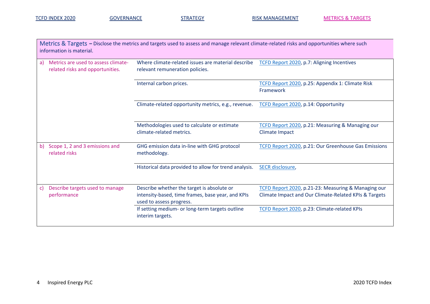<span id="page-4-0"></span>

| Metrics & Targets – Disclose the metrics and targets used to assess and manage relevant climate-related risks and opportunities where such<br>information is material. |                                                                         |                                                                                                                             |                                                                                                              |  |  |
|------------------------------------------------------------------------------------------------------------------------------------------------------------------------|-------------------------------------------------------------------------|-----------------------------------------------------------------------------------------------------------------------------|--------------------------------------------------------------------------------------------------------------|--|--|
| a)                                                                                                                                                                     | Metrics are used to assess climate-<br>related risks and opportunities. | Where climate-related issues are material describe<br>relevant remuneration policies.                                       | TCFD Report 2020, p.7: Aligning Incentives                                                                   |  |  |
|                                                                                                                                                                        |                                                                         | Internal carbon prices.                                                                                                     | TCFD Report 2020, p.25: Appendix 1: Climate Risk<br>Framework                                                |  |  |
|                                                                                                                                                                        |                                                                         | Climate-related opportunity metrics, e.g., revenue.                                                                         | TCFD Report 2020, p.14: Opportunity                                                                          |  |  |
|                                                                                                                                                                        |                                                                         | Methodologies used to calculate or estimate<br>climate-related metrics.                                                     | TCFD Report 2020, p.21: Measuring & Managing our<br>Climate Impact                                           |  |  |
| b)                                                                                                                                                                     | Scope 1, 2 and 3 emissions and<br>related risks                         | GHG emission data in-line with GHG protocol<br>methodology.                                                                 | TCFD Report 2020, p.21: Our Greenhouse Gas Emissions                                                         |  |  |
|                                                                                                                                                                        |                                                                         | Historical data provided to allow for trend analysis.                                                                       | <b>SECR</b> disclosure,                                                                                      |  |  |
| $\mathsf{C}$                                                                                                                                                           | Describe targets used to manage<br>performance                          | Describe whether the target is absolute or<br>intensity-based, time frames, base year, and KPIs<br>used to assess progress. | TCFD Report 2020, p.21-23: Measuring & Managing our<br>Climate Impact and Our Climate-Related KPIs & Targets |  |  |
|                                                                                                                                                                        |                                                                         | If setting medium- or long-term targets outline<br>interim targets.                                                         | TCFD Report 2020, p.23: Climate-related KPIs                                                                 |  |  |